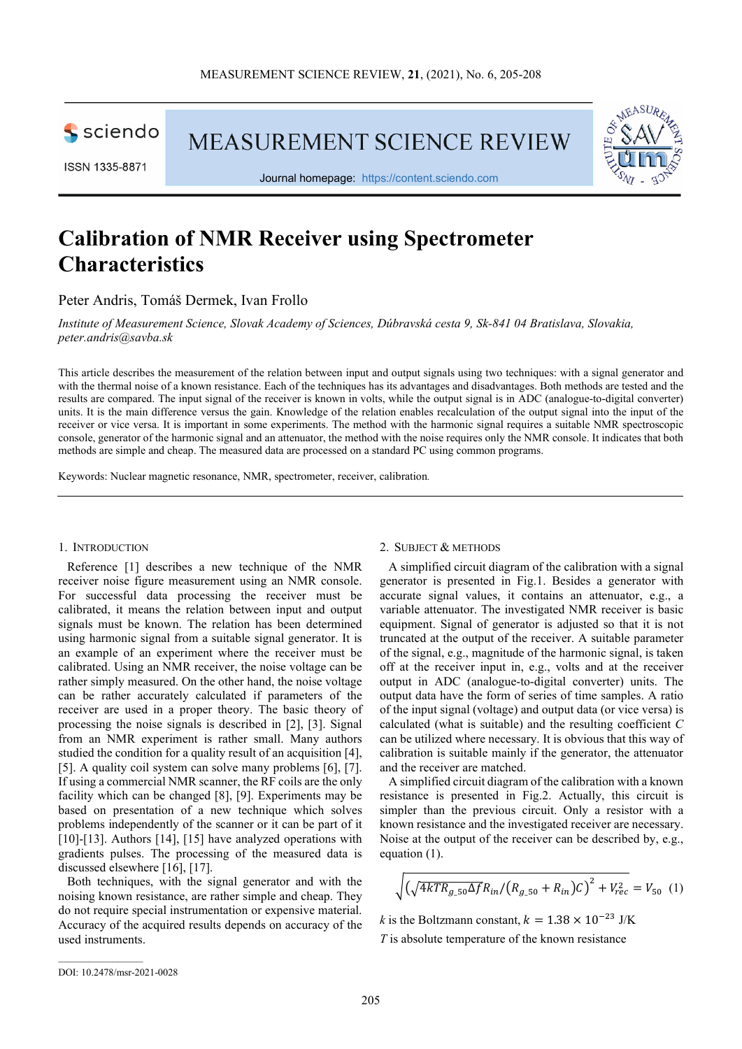

**MEASUREMENT SCIENCE REVIEW** 





Journal homepage: [https://content.sciendo.com](https://content.sciendo.com/view/journals/msr/msr-overview.xml)

# **Calibration of NMR Receiver using Spectrometer Characteristics**

Peter Andris, Tomáš Dermek, Ivan Frollo

*Institute of Measurement Science, Slovak Academy of Sciences, Dúbravská cesta 9, Sk-841 04 Bratislava, Slovakia, [peter.andris@savba.sk](mailto:peter.andris@savba.sk)*

This article describes the measurement of the relation between input and output signals using two techniques: with a signal generator and with the thermal noise of a known resistance. Each of the techniques has its advantages and disadvantages. Both methods are tested and the results are compared. The input signal of the receiver is known in volts, while the output signal is in ADC (analogue-to-digital converter) units. It is the main difference versus the gain. Knowledge of the relation enables recalculation of the output signal into the input of the receiver or vice versa. It is important in some experiments. The method with the harmonic signal requires a suitable NMR spectroscopic console, generator of the harmonic signal and an attenuator, the method with the noise requires only the NMR console. It indicates that both methods are simple and cheap. The measured data are processed on a standard PC using common programs.

Keywords: Nuclear magnetic resonance, NMR, spectrometer, receiver, calibration*.*

# 1. INTRODUCTION

Reference [1] describes a new technique of the NMR receiver noise figure measurement using an NMR console. For successful data processing the receiver must be calibrated, it means the relation between input and output signals must be known. The relation has been determined using harmonic signal from a suitable signal generator. It is an example of an experiment where the receiver must be calibrated. Using an NMR receiver, the noise voltage can be rather simply measured. On the other hand, the noise voltage can be rather accurately calculated if parameters of the receiver are used in a proper theory. The basic theory of processing the noise signals is described in [2], [3]. Signal from an NMR experiment is rather small. Many authors studied the condition for a quality result of an acquisition [4], [5]. A quality coil system can solve many problems [6], [7]. If using a commercial NMR scanner, the RF coils are the only facility which can be changed [8], [9]. Experiments may be based on presentation of a new technique which solves problems independently of the scanner or it can be part of it [10]-[13]. Authors [14], [15] have analyzed operations with gradients pulses. The processing of the measured data is discussed elsewhere [16], [17].

Both techniques, with the signal generator and with the noising known resistance, are rather simple and cheap. They do not require special instrumentation or expensive material. Accuracy of the acquired results depends on accuracy of the used instruments.

#### 2. SUBJECT & METHODS

A simplified circuit diagram of the calibration with a signal generator is presented in Fig.1. Besides a generator with accurate signal values, it contains an attenuator, e.g., a variable attenuator. The investigated NMR receiver is basic equipment. Signal of generator is adjusted so that it is not truncated at the output of the receiver. A suitable parameter of the signal, e.g., magnitude of the harmonic signal, is taken off at the receiver input in, e.g., volts and at the receiver output in ADC (analogue-to-digital converter) units. The output data have the form of series of time samples. A ratio of the input signal (voltage) and output data (or vice versa) is calculated (what is suitable) and the resulting coefficient *C* can be utilized where necessary. It is obvious that this way of calibration is suitable mainly if the generator, the attenuator and the receiver are matched.

A simplified circuit diagram of the calibration with a known resistance is presented in Fig.2. Actually, this circuit is simpler than the previous circuit. Only a resistor with a known resistance and the investigated receiver are necessary. Noise at the output of the receiver can be described by, e.g., equation (1).

$$
\sqrt{\left(\sqrt{4kTR_{g_50}\Delta f}R_{in}/\left(R_{g_50}+R_{in}\right)C\right)^2+V_{rec}^2}=V_{50}\ (1)
$$

*k* is the Boltzmann constant,  $k = 1.38 \times 10^{-23}$  J/K *T* is absolute temperature of the known resistance

 $\mathcal{L}_\text{max}$  and  $\mathcal{L}_\text{max}$  and  $\mathcal{L}_\text{max}$ 

DOI: 10.2478/msr-2021-0028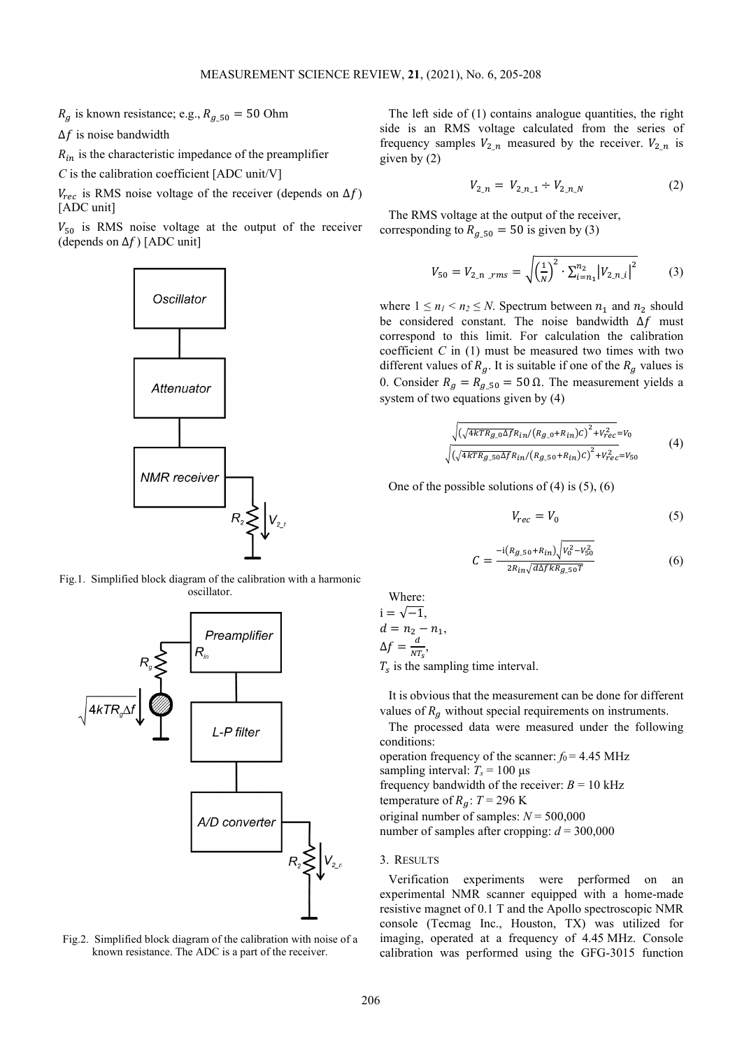$R_g$  is known resistance; e.g.,  $R_{g,50} = 50$  Ohm

 $\Delta f$  is noise bandwidth

 $R_{in}$  is the characteristic impedance of the preamplifier

*C* is the calibration coefficient [ADC unit/V]

 $V_{rec}$  is RMS noise voltage of the receiver (depends on  $\Delta f$ ) [ADC unit]

 $V_{50}$  is RMS noise voltage at the output of the receiver (depends on  $\Delta f$ ) [ADC unit]



Fig.1. Simplified block diagram of the calibration with a harmonic oscillator.



Fig.2. Simplified block diagram of the calibration with noise of a known resistance. The ADC is a part of the receiver.

The left side of (1) contains analogue quantities, the right side is an RMS voltage calculated from the series of frequency samples  $V_{2n}$  measured by the receiver.  $V_{2n}$  is given by (2)

$$
V_{2,n} = V_{2,n,1} \div V_{2,n,N} \tag{2}
$$

The RMS voltage at the output of the receiver, corresponding to  $R_{g_2=50} = 50$  is given by (3)

$$
V_{50} = V_{2,n} \, \text{rms} = \sqrt{\left(\frac{1}{N}\right)^2 \cdot \sum_{i=n_1}^{n_2} \left|V_{2,n_i}\right|^2} \tag{3}
$$

where  $1 \le n_1 < n_2 \le N$ . Spectrum between  $n_1$  and  $n_2$  should be considered constant. The noise bandwidth  $\Delta f$  must correspond to this limit. For calculation the calibration coefficient  $C$  in  $(1)$  must be measured two times with two different values of  $R_q$ . It is suitable if one of the  $R_q$  values is 0. Consider  $R_g = R_{g,50} = 50$  Ω. The measurement yields a system of two equations given by (4)

$$
\sqrt{\left(\sqrt{4kTR_{g\_0}\Delta f}R_{in}/(R_{g\_0}+R_{in})C\right)^2 + V_{rec}^2} = V_0
$$
\n
$$
\sqrt{\left(\sqrt{4kTR_{g\_50}\Delta f}R_{in}/(R_{g\_50}+R_{in})C\right)^2 + V_{rec}^2} = V_{50}
$$
\n
$$
\tag{4}
$$

One of the possible solutions of  $(4)$  is  $(5)$ ,  $(6)$ 

$$
V_{rec} = V_0 \tag{5}
$$

$$
C = \frac{-i(R_{g_2=0} + R_{in})\sqrt{V_0^2 - V_{\rm SO}^2}}{2R_{in}\sqrt{d\Delta f k R_{g_2=0}T}}\tag{6}
$$

Where:  $i = \sqrt{-1}$ .  $d = n_2 - n_1,$  $\Delta f = \frac{d}{NT_s}$ 

 $T<sub>s</sub>$  is the sampling time interval.

It is obvious that the measurement can be done for different values of  $R_a$  without special requirements on instruments.

The processed data were measured under the following conditions:

operation frequency of the scanner:  $f_0 = 4.45$  MHz sampling interval:  $T_s = 100 \text{ }\mu\text{s}$ frequency bandwidth of the receiver:  $B = 10$  kHz temperature of  $R_a$ :  $T = 296$  K original number of samples:  $N = 500,000$ 

number of samples after cropping:  $d = 300,000$ 

#### 3. RESULTS

Verification experiments were performed on an experimental NMR scanner equipped with a home-made resistive magnet of 0.1 T and the Apollo spectroscopic NMR console (Tecmag Inc., Houston, TX) was utilized for imaging, operated at a frequency of 4.45 MHz. Console calibration was performed using the GFG-3015 function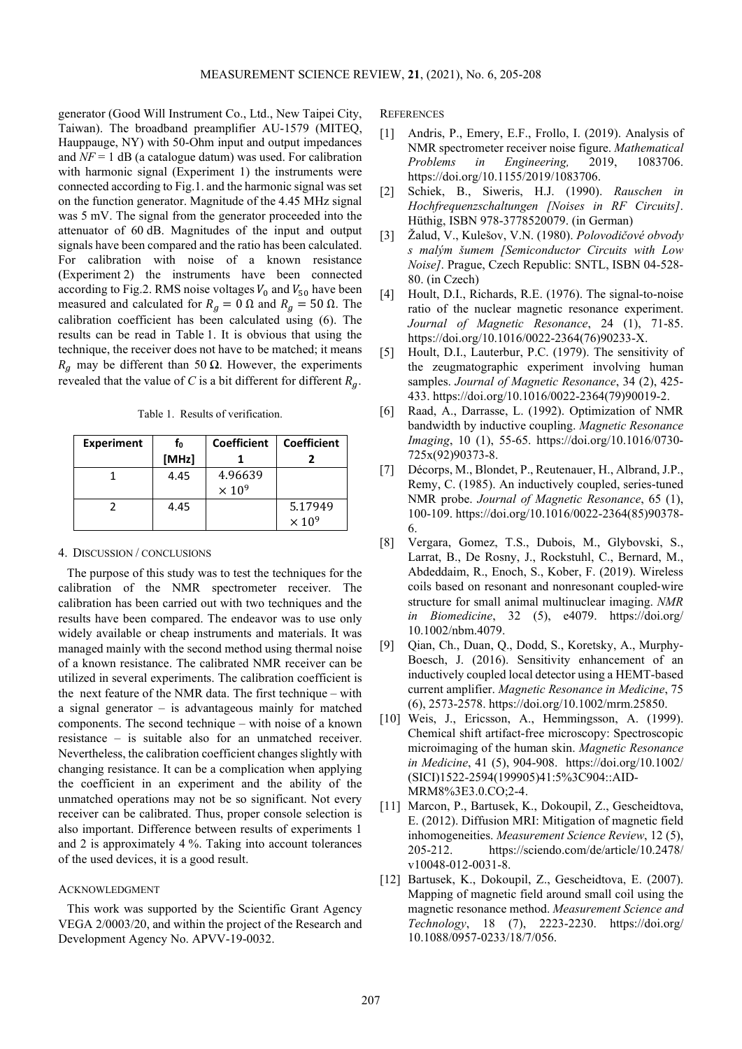generator (Good Will Instrument Co., Ltd., New Taipei City, Taiwan). The broadband preamplifier AU-1579 (MITEQ, Hauppauge, NY) with 50-Ohm input and output impedances and  $NF = 1$  dB (a catalogue datum) was used. For calibration with harmonic signal (Experiment 1) the instruments were connected according to Fig.1. and the harmonic signal was set on the function generator. Magnitude of the 4.45 MHz signal was 5 mV. The signal from the generator proceeded into the attenuator of 60 dB. Magnitudes of the input and output signals have been compared and the ratio has been calculated. For calibration with noise of a known resistance (Experiment 2) the instruments have been connected according to Fig.2. RMS noise voltages  $V_0$  and  $V_{50}$  have been measured and calculated for  $R_g = 0 \Omega$  and  $R_g = 50 \Omega$ . The calibration coefficient has been calculated using (6). The results can be read in Table 1. It is obvious that using the technique, the receiver does not have to be matched; it means  $R<sub>q</sub>$  may be different than 50 Ω. However, the experiments revealed that the value of *C* is a bit different for different  $R_q$ .

Table 1. Results of verification.

| <b>Experiment</b> | fo    | <b>Coefficient</b>       | <b>Coefficient</b>       |
|-------------------|-------|--------------------------|--------------------------|
|                   | [MHz] |                          |                          |
|                   | 4.45  | 4.96639                  |                          |
|                   |       | $\times$ 10 <sup>9</sup> |                          |
|                   | 4.45  |                          | 5.17949                  |
|                   |       |                          | $\times$ 10 <sup>9</sup> |

# 4. DISCUSSION / CONCLUSIONS

The purpose of this study was to test the techniques for the calibration of the NMR spectrometer receiver. The calibration has been carried out with two techniques and the results have been compared. The endeavor was to use only widely available or cheap instruments and materials. It was managed mainly with the second method using thermal noise of a known resistance. The calibrated NMR receiver can be utilized in several experiments. The calibration coefficient is the next feature of the NMR data. The first technique – with a signal generator – is advantageous mainly for matched components. The second technique – with noise of a known resistance – is suitable also for an unmatched receiver. Nevertheless, the calibration coefficient changes slightly with changing resistance. It can be a complication when applying the coefficient in an experiment and the ability of the unmatched operations may not be so significant. Not every receiver can be calibrated. Thus, proper console selection is also important. Difference between results of experiments 1 and 2 is approximately 4 %. Taking into account tolerances of the used devices, it is a good result.

### ACKNOWLEDGMENT

This work was supported by the Scientific Grant Agency VEGA 2/0003/20, and within the project of the Research and Development Agency No. APVV-19-0032.

**REFERENCES** 

- [1] Andris, P., Emery, E.F., Frollo, I. (2019). Analysis of NMR spectrometer receiver noise figure. *Mathematical Problems in Engineering,* 2019, 1083706. [https://doi.org/10.1155/2019/1083706.](https://doi.org/10.1155/2019/1083706)
- [2] Schiek, B., Siweris, H.J. (1990). *Rauschen in Hochfrequenzschaltungen [Noises in RF Circuits]*. Hüthig, ISBN 978-3778520079. (in German)
- [3] Žalud, V., Kulešov, V.N. (1980). *Polovodičové obvody s malým šumem [Semiconductor Circuits with Low Noise]*. Prague, Czech Republic: SNTL, ISBN 04-528- 80. (in Czech)
- [4] Hoult, D.I., Richards, R.E. (1976). The signal-to-noise ratio of the nuclear magnetic resonance experiment. *Journal of Magnetic Resonance*, 24 (1), 71-85. [https://doi.org/10.1016/0022-2364\(76\)90233-X.](https://doi.org/10.1016/0022-2364(76)90233-X)
- [5] Hoult, D.I., Lauterbur, P.C. (1979). The sensitivity of the zeugmatographic experiment involving human samples. *Journal of Magnetic Resonance*, 34 (2), 425- 433[. https://doi.org/10.1016/0022-2364\(79\)90019-2.](https://doi.org/10.1016/0022-2364(79)90019-2)
- [6] Raad, A., Darrasse, L. (1992). Optimization of NMR bandwidth by inductive coupling. *Magnetic Resonance Imaging*, 10 (1), 55-65. [https://doi.org/10.1016/0730-](https://doi.org/10.1016/0730-725x(92)90373-8) [725x\(92\)90373-8.](https://doi.org/10.1016/0730-725x(92)90373-8)
- [7] Décorps, M., Blondet, P., Reutenauer, H., Albrand, J.P., Remy, C. (1985). An inductively coupled, series-tuned NMR probe. *Journal of Magnetic Resonance*, 65 (1), 100-109[. https://doi.org/10.1016/0022-2364\(85\)90378-](https://doi.org/10.1016/0022-2364(85)90378-6) [6.](https://doi.org/10.1016/0022-2364(85)90378-6)
- [8] Vergara, Gomez, T.S., Dubois, M., Glybovski, S., Larrat, B., De Rosny, J., Rockstuhl, C., Bernard, M., Abdeddaim, R., Enoch, S., Kober, F. (2019). Wireless coils based on resonant and nonresonant coupled‐wire structure for small animal multinuclear imaging. *NMR in Biomedicine*, 32 (5), e4079. [https://doi.org/](https://doi.org/%2010.1002/nbm.4079)  [10.1002/nbm.4079.](https://doi.org/%2010.1002/nbm.4079)
- [9] Qian, Ch., Duan, Q., Dodd, S., Koretsky, A., Murphy-Boesch, J. (2016). Sensitivity enhancement of an inductively coupled local detector using a HEMT-based current amplifier. *Magnetic Resonance in Medicine*, 75 (6), 2573-2578[. https://doi.org/10.1002/mrm.25850.](https://doi.org/10.1002/mrm.25850)
- [10] Weis, J., Ericsson, A., Hemmingsson, A. (1999). Chemical shift artifact-free microscopy: Spectroscopic microimaging of the human skin. *Magnetic Resonance in Medicine*, 41 (5), 904-908. [https://doi.org/10.1002/](https://doi.org/10.1002/%20(SICI)1522-2594(199905)41:5%3C904::AID-MRM8%3E3.0.CO;2-4)  [\(SICI\)1522-2594\(199905\)41:5%3C904::AID-](https://doi.org/10.1002/%20(SICI)1522-2594(199905)41:5%3C904::AID-MRM8%3E3.0.CO;2-4)[MRM8%3E3.0.CO;2-4.](https://doi.org/10.1002/%20(SICI)1522-2594(199905)41:5%3C904::AID-MRM8%3E3.0.CO;2-4)
- [11] Marcon, P., Bartusek, K., Dokoupil, Z., Gescheidtova, E. (2012). Diffusion MRI: Mitigation of magnetic field inhomogeneities. *Measurement Science Review*, 12 (5), 205-212. [https://sciendo.com/de/article/10.2478/](https://sciendo.com/de/article/10.2478/%20v10048-012-0031-8)  [v10048-012-0031-8.](https://sciendo.com/de/article/10.2478/%20v10048-012-0031-8)
- [12] Bartusek, K., Dokoupil, Z., Gescheidtova, E. (2007). Mapping of magnetic field around small coil using the magnetic resonance method. *Measurement Science and Technology*, 18 (7), 2223-2230. [https://doi.org/](https://doi.org/%2010.1088/0957-0233/18/7/056)  [10.1088/0957-0233/18/7/056.](https://doi.org/%2010.1088/0957-0233/18/7/056)